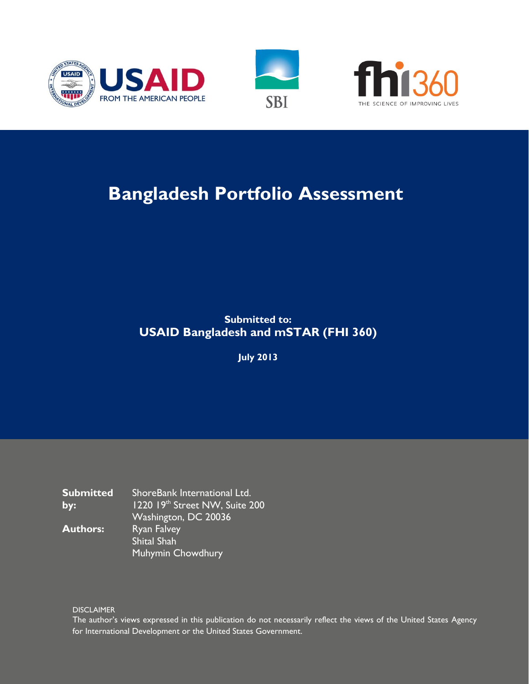





# **Bangladesh Portfolio Assessment**

## **Submitted to: USAID Bangladesh and mSTAR (FHI 360)**

**July 2013**

**Submitted by:** ShoreBank International Ltd. 1220 19th Street NW, Suite 200 Washington, DC 20036 **Authors:** Ryan Falvey Shital Shah Muhymin Chowdhury

**DISCLAIMER** 

The author's views expressed in this publication do not necessarily reflect the views of the United States Agency for International Development or the United States Government.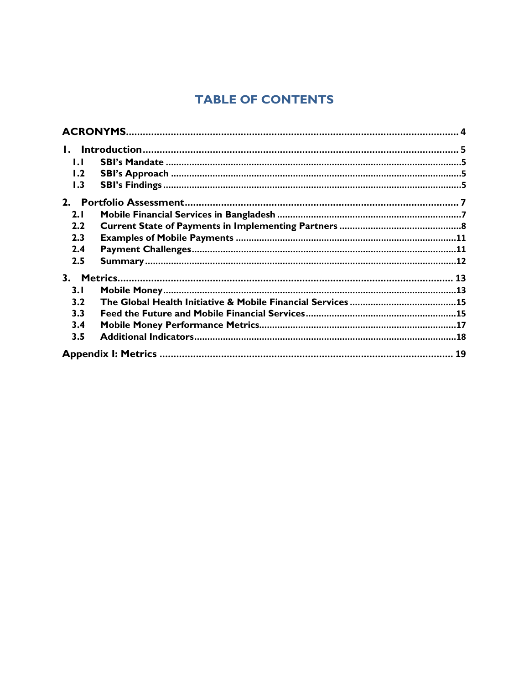## **TABLE OF CONTENTS**

| IJ  |  |
|-----|--|
| 1.2 |  |
| 1.3 |  |
| 2.  |  |
| 2.1 |  |
| 2.2 |  |
| 2.3 |  |
| 2.4 |  |
| 2.5 |  |
| 3.  |  |
| 3.1 |  |
| 3.2 |  |
| 3.3 |  |
| 3.4 |  |
| 3.5 |  |
|     |  |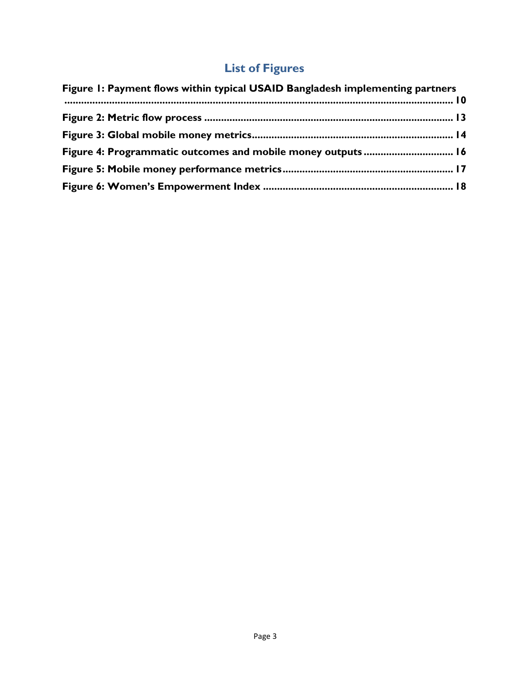## **List of Figures**

| Figure 1: Payment flows within typical USAID Bangladesh implementing partners |  |
|-------------------------------------------------------------------------------|--|
|                                                                               |  |
|                                                                               |  |
|                                                                               |  |
|                                                                               |  |
|                                                                               |  |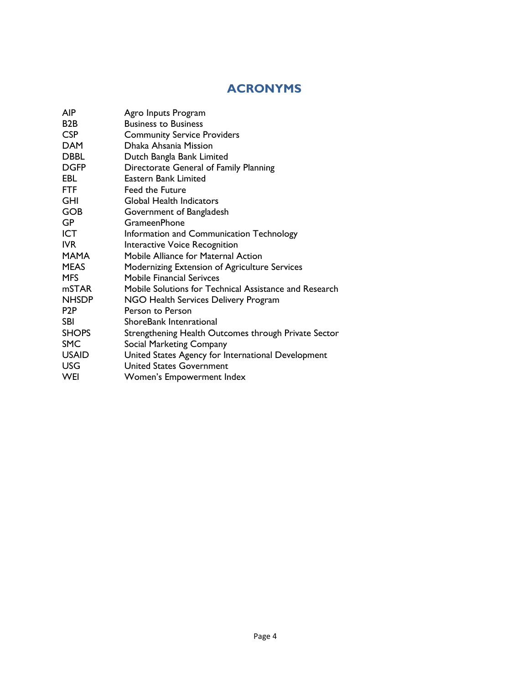## **ACRONYMS**

<span id="page-3-0"></span>

| <b>AIP</b>       | Agro Inputs Program                                    |
|------------------|--------------------------------------------------------|
| B <sub>2</sub> B | <b>Business to Business</b>                            |
| <b>CSP</b>       | <b>Community Service Providers</b>                     |
| <b>DAM</b>       | Dhaka Ahsania Mission                                  |
| <b>DBBL</b>      | Dutch Bangla Bank Limited                              |
| <b>DGFP</b>      | Directorate General of Family Planning                 |
| EBL.             | Eastern Bank Limited                                   |
| FTF              | <b>Feed the Future</b>                                 |
| <b>GHI</b>       | Global Health Indicators                               |
| <b>GOB</b>       | Government of Bangladesh                               |
| <b>GP</b>        | GrameenPhone                                           |
| <b>ICT</b>       | Information and Communication Technology               |
| <b>IVR</b>       | Interactive Voice Recognition                          |
| <b>MAMA</b>      | Mobile Alliance for Maternal Action                    |
| <b>MEAS</b>      | Modernizing Extension of Agriculture Services          |
| <b>MFS</b>       | <b>Mobile Financial Serivces</b>                       |
| mSTAR            | Mobile Solutions for Technical Assistance and Research |
| <b>NHSDP</b>     | NGO Health Services Delivery Program                   |
| P <sub>2</sub> P | Person to Person                                       |
| <b>SBI</b>       | ShoreBank Intenrational                                |
| <b>SHOPS</b>     | Strengthening Health Outcomes through Private Sector   |
| <b>SMC</b>       | Social Marketing Company                               |
| <b>USAID</b>     | United States Agency for International Development     |
| <b>USG</b>       | <b>United States Government</b>                        |
| WEI              | Women's Empowerment Index                              |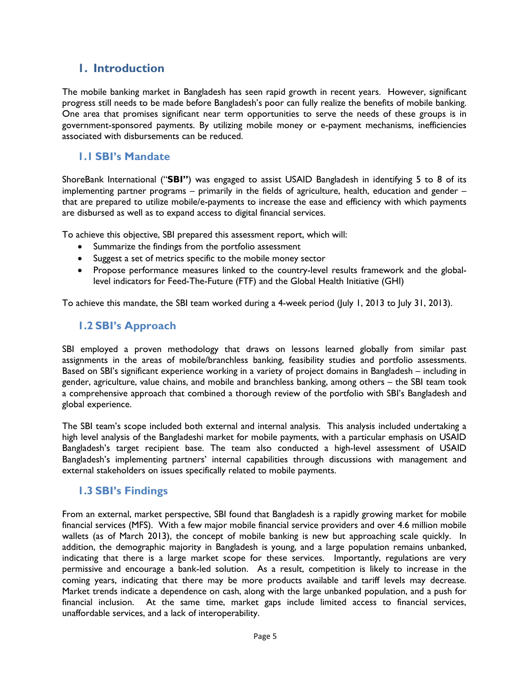## <span id="page-4-0"></span>**1. Introduction**

The mobile banking market in Bangladesh has seen rapid growth in recent years. However, significant progress still needs to be made before Bangladesh's poor can fully realize the benefits of mobile banking. One area that promises significant near term opportunities to serve the needs of these groups is in government-sponsored payments. By utilizing mobile money or e-payment mechanisms, inefficiencies associated with disbursements can be reduced.

#### <span id="page-4-1"></span>**1.1 SBI's Mandate**

ShoreBank International ("**SBI"**) was engaged to assist USAID Bangladesh in identifying 5 to 8 of its implementing partner programs – primarily in the fields of agriculture, health, education and gender – that are prepared to utilize mobile/e-payments to increase the ease and efficiency with which payments are disbursed as well as to expand access to digital financial services.

To achieve this objective, SBI prepared this assessment report, which will:

- Summarize the findings from the portfolio assessment
- Suggest a set of metrics specific to the mobile money sector
- Propose performance measures linked to the country-level results framework and the globallevel indicators for Feed-The-Future (FTF) and the Global Health Initiative (GHI)

To achieve this mandate, the SBI team worked during a 4-week period (July 1, 2013 to July 31, 2013).

#### <span id="page-4-2"></span>**1.2 SBI's Approach**

SBI employed a proven methodology that draws on lessons learned globally from similar past assignments in the areas of mobile/branchless banking, feasibility studies and portfolio assessments. Based on SBI's significant experience working in a variety of project domains in Bangladesh – including in gender, agriculture, value chains, and mobile and branchless banking, among others – the SBI team took a comprehensive approach that combined a thorough review of the portfolio with SBI's Bangladesh and global experience.

The SBI team's scope included both external and internal analysis. This analysis included undertaking a high level analysis of the Bangladeshi market for mobile payments, with a particular emphasis on USAID Bangladesh's target recipient base. The team also conducted a high-level assessment of USAID Bangladesh's implementing partners' internal capabilities through discussions with management and external stakeholders on issues specifically related to mobile payments.

#### <span id="page-4-3"></span>**1.3 SBI's Findings**

From an external, market perspective, SBI found that Bangladesh is a rapidly growing market for mobile financial services (MFS). With a few major mobile financial service providers and over 4.6 million mobile wallets (as of March 2013), the concept of mobile banking is new but approaching scale quickly. In addition, the demographic majority in Bangladesh is young, and a large population remains unbanked, indicating that there is a large market scope for these services. Importantly, regulations are very permissive and encourage a bank-led solution. As a result, competition is likely to increase in the coming years, indicating that there may be more products available and tariff levels may decrease. Market trends indicate a dependence on cash, along with the large unbanked population, and a push for financial inclusion. At the same time, market gaps include limited access to financial services, unaffordable services, and a lack of interoperability.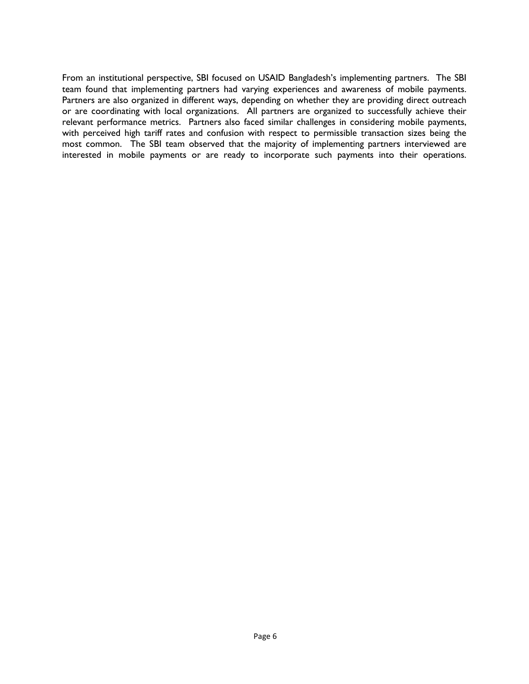From an institutional perspective, SBI focused on USAID Bangladesh's implementing partners. The SBI team found that implementing partners had varying experiences and awareness of mobile payments. Partners are also organized in different ways, depending on whether they are providing direct outreach or are coordinating with local organizations. All partners are organized to successfully achieve their relevant performance metrics. Partners also faced similar challenges in considering mobile payments, with perceived high tariff rates and confusion with respect to permissible transaction sizes being the most common. The SBI team observed that the majority of implementing partners interviewed are interested in mobile payments or are ready to incorporate such payments into their operations.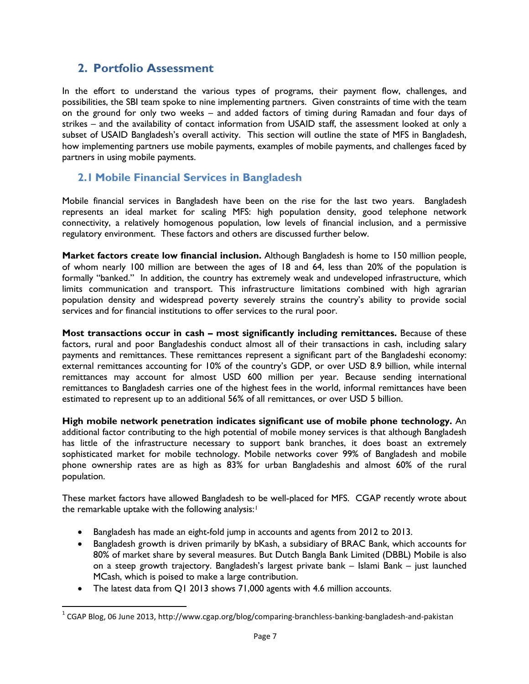## <span id="page-6-0"></span>**2. Portfolio Assessment**

In the effort to understand the various types of programs, their payment flow, challenges, and possibilities, the SBI team spoke to nine implementing partners. Given constraints of time with the team on the ground for only two weeks – and added factors of timing during Ramadan and four days of strikes – and the availability of contact information from USAID staff, the assessment looked at only a subset of USAID Bangladesh's overall activity. This section will outline the state of MFS in Bangladesh, how implementing partners use mobile payments, examples of mobile payments, and challenges faced by partners in using mobile payments.

## <span id="page-6-1"></span>**2.1 Mobile Financial Services in Bangladesh**

Mobile financial services in Bangladesh have been on the rise for the last two years. Bangladesh represents an ideal market for scaling MFS: high population density, good telephone network connectivity, a relatively homogenous population, low levels of financial inclusion, and a permissive regulatory environment. These factors and others are discussed further below.

**Market factors create low financial inclusion.** Although Bangladesh is home to 150 million people, of whom nearly 100 million are between the ages of 18 and 64, less than 20% of the population is formally "banked." In addition, the country has extremely weak and undeveloped infrastructure, which limits communication and transport. This infrastructure limitations combined with high agrarian population density and widespread poverty severely strains the country's ability to provide social services and for financial institutions to offer services to the rural poor.

**Most transactions occur in cash – most significantly including remittances.** Because of these factors, rural and poor Bangladeshis conduct almost all of their transactions in cash, including salary payments and remittances. These remittances represent a significant part of the Bangladeshi economy: external remittances accounting for 10% of the country's GDP, or over USD 8.9 billion, while internal remittances may account for almost USD 600 million per year. Because sending international remittances to Bangladesh carries one of the highest fees in the world, informal remittances have been estimated to represent up to an additional 56% of all remittances, or over USD 5 billion.

**High mobile network penetration indicates significant use of mobile phone technology.** An additional factor contributing to the high potential of mobile money services is that although Bangladesh has little of the infrastructure necessary to support bank branches, it does boast an extremely sophisticated market for mobile technology. Mobile networks cover 99% of Bangladesh and mobile phone ownership rates are as high as 83% for urban Bangladeshis and almost 60% of the rural population.

These market factors have allowed Bangladesh to be well-placed for MFS. CGAP recently wrote about the remarkable uptake with the following analysis:<sup>[1](#page-6-2)</sup>

- Bangladesh has made an eight-fold jump in accounts and agents from 2012 to 2013.
- Bangladesh growth is driven primarily by bKash, a subsidiary of BRAC Bank, which accounts for 80% of market share by several measures. But Dutch Bangla Bank Limited (DBBL) Mobile is also on a steep growth trajectory. Bangladesh's largest private bank – Islami Bank – just launched MCash, which is poised to make a large contribution.
- The latest data from Q1 2013 shows 71,000 agents with 4.6 million accounts.

l

<span id="page-6-2"></span> $1 \text{ CGAP Blog}$ , 06 June 2013, http://www.cgap.org/blog/comparing-branchless-banking-bangladesh-and-pakistan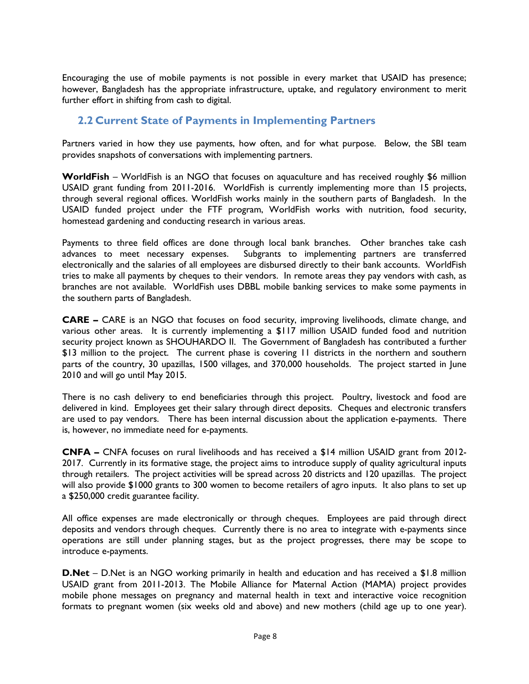Encouraging the use of mobile payments is not possible in every market that USAID has presence; however, Bangladesh has the appropriate infrastructure, uptake, and regulatory environment to merit further effort in shifting from cash to digital.

## <span id="page-7-0"></span>**2.2 Current State of Payments in Implementing Partners**

Partners varied in how they use payments, how often, and for what purpose. Below, the SBI team provides snapshots of conversations with implementing partners.

**WorldFish** – WorldFish is an NGO that focuses on aquaculture and has received roughly \$6 million USAID grant funding from 2011-2016. WorldFish is currently implementing more than 15 projects, through several regional offices. WorldFish works mainly in the southern parts of Bangladesh. In the USAID funded project under the FTF program, WorldFish works with nutrition, food security, homestead gardening and conducting research in various areas.

Payments to three field offices are done through local bank branches. Other branches take cash advances to meet necessary expenses. Subgrants to implementing partners are transferred electronically and the salaries of all employees are disbursed directly to their bank accounts. WorldFish tries to make all payments by cheques to their vendors. In remote areas they pay vendors with cash, as branches are not available. WorldFish uses DBBL mobile banking services to make some payments in the southern parts of Bangladesh.

**CARE –** CARE is an NGO that focuses on food security, improving livelihoods, climate change, and various other areas. It is currently implementing a \$117 million USAID funded food and nutrition security project known as SHOUHARDO II. The Government of Bangladesh has contributed a further \$13 million to the project. The current phase is covering 11 districts in the northern and southern parts of the country, 30 upazillas, 1500 villages, and 370,000 households. The project started in June 2010 and will go until May 2015.

There is no cash delivery to end beneficiaries through this project. Poultry, livestock and food are delivered in kind. Employees get their salary through direct deposits. Cheques and electronic transfers are used to pay vendors. There has been internal discussion about the application e-payments. There is, however, no immediate need for e-payments.

**CNFA –** CNFA focuses on rural livelihoods and has received a \$14 million USAID grant from 2012- 2017. Currently in its formative stage, the project aims to introduce supply of quality agricultural inputs through retailers. The project activities will be spread across 20 districts and 120 upazillas. The project will also provide \$1000 grants to 300 women to become retailers of agro inputs. It also plans to set up a \$250,000 credit guarantee facility.

All office expenses are made electronically or through cheques. Employees are paid through direct deposits and vendors through cheques. Currently there is no area to integrate with e-payments since operations are still under planning stages, but as the project progresses, there may be scope to introduce e-payments.

**D.Net** – D.Net is an NGO working primarily in health and education and has received a \$1.8 million USAID grant from 2011-2013. The Mobile Alliance for Maternal Action (MAMA) project provides mobile phone messages on pregnancy and maternal health in text and interactive voice recognition formats to pregnant women (six weeks old and above) and new mothers (child age up to one year).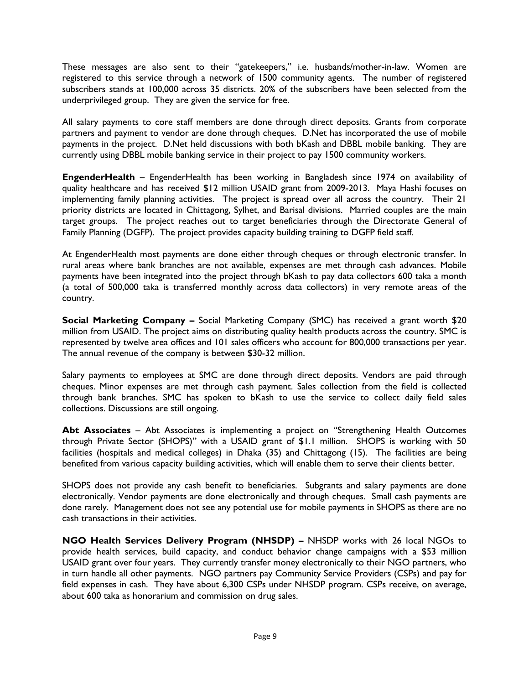These messages are also sent to their "gatekeepers," i.e. husbands/mother-in-law. Women are registered to this service through a network of 1500 community agents. The number of registered subscribers stands at 100,000 across 35 districts. 20% of the subscribers have been selected from the underprivileged group. They are given the service for free.

All salary payments to core staff members are done through direct deposits. Grants from corporate partners and payment to vendor are done through cheques. D.Net has incorporated the use of mobile payments in the project. D.Net held discussions with both bKash and DBBL mobile banking. They are currently using DBBL mobile banking service in their project to pay 1500 community workers.

**EngenderHealth** – EngenderHealth has been working in Bangladesh since 1974 on availability of quality healthcare and has received \$12 million USAID grant from 2009-2013. Maya Hashi focuses on implementing family planning activities. The project is spread over all across the country. Their 21 priority districts are located in Chittagong, Sylhet, and Barisal divisions. Married couples are the main target groups. The project reaches out to target beneficiaries through the Directorate General of Family Planning (DGFP). The project provides capacity building training to DGFP field staff.

At EngenderHealth most payments are done either through cheques or through electronic transfer. In rural areas where bank branches are not available, expenses are met through cash advances. Mobile payments have been integrated into the project through bKash to pay data collectors 600 taka a month (a total of 500,000 taka is transferred monthly across data collectors) in very remote areas of the country.

**Social Marketing Company –** Social Marketing Company (SMC) has received a grant worth \$20 million from USAID. The project aims on distributing quality health products across the country. SMC is represented by twelve area offices and 101 sales officers who account for 800,000 transactions per year. The annual revenue of the company is between \$30-32 million.

Salary payments to employees at SMC are done through direct deposits. Vendors are paid through cheques. Minor expenses are met through cash payment. Sales collection from the field is collected through bank branches. SMC has spoken to bKash to use the service to collect daily field sales collections. Discussions are still ongoing.

**Abt Associates** – Abt Associates is implementing a project on "Strengthening Health Outcomes through Private Sector (SHOPS)" with a USAID grant of \$1.1 million. SHOPS is working with 50 facilities (hospitals and medical colleges) in Dhaka (35) and Chittagong (15). The facilities are being benefited from various capacity building activities, which will enable them to serve their clients better.

SHOPS does not provide any cash benefit to beneficiaries. Subgrants and salary payments are done electronically. Vendor payments are done electronically and through cheques. Small cash payments are done rarely. Management does not see any potential use for mobile payments in SHOPS as there are no cash transactions in their activities.

**NGO Health Services Delivery Program (NHSDP) –** NHSDP works with 26 local NGOs to provide health services, build capacity, and conduct behavior change campaigns with a \$53 million USAID grant over four years. They currently transfer money electronically to their NGO partners, who in turn handle all other payments. NGO partners pay Community Service Providers (CSPs) and pay for field expenses in cash. They have about 6,300 CSPs under NHSDP program. CSPs receive, on average, about 600 taka as honorarium and commission on drug sales.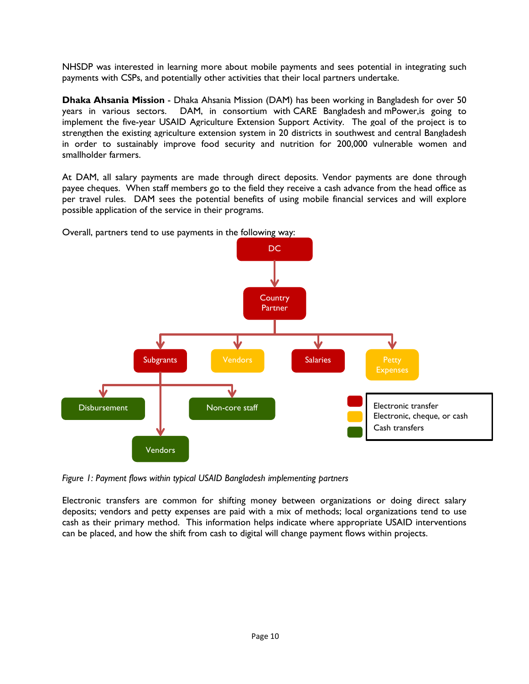NHSDP was interested in learning more about mobile payments and sees potential in integrating such payments with CSPs, and potentially other activities that their local partners undertake.

**Dhaka Ahsania Mission** - Dhaka Ahsania Mission (DAM) has been working in Bangladesh for over 50 years in various sectors. DAM, in consortium with CARE Bangladesh and mPower,is going to implement the five-year USAID Agriculture Extension Support Activity. The goal of the project is to strengthen the existing agriculture extension system in 20 districts in southwest and central Bangladesh in order to sustainably improve food security and nutrition for 200,000 vulnerable women and smallholder farmers.

At DAM, all salary payments are made through direct deposits. Vendor payments are done through payee cheques. When staff members go to the field they receive a cash advance from the head office as per travel rules. DAM sees the potential benefits of using mobile financial services and will explore possible application of the service in their programs.

Overall, partners tend to use payments in the following way:



*Figure 1: Payment flows within typical USAID Bangladesh implementing partners*

Electronic transfers are common for shifting money between organizations or doing direct salary deposits; vendors and petty expenses are paid with a mix of methods; local organizations tend to use cash as their primary method. This information helps indicate where appropriate USAID interventions can be placed, and how the shift from cash to digital will change payment flows within projects.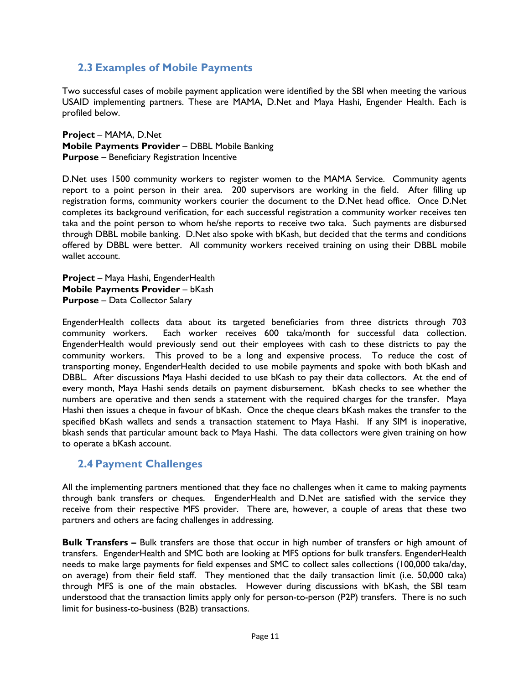## <span id="page-10-0"></span>**2.3 Examples of Mobile Payments**

Two successful cases of mobile payment application were identified by the SBI when meeting the various USAID implementing partners. These are MAMA, D.Net and Maya Hashi, Engender Health. Each is profiled below.

**Project** – MAMA, D.Net **Mobile Payments Provider** – DBBL Mobile Banking **Purpose** – Beneficiary Registration Incentive

D.Net uses 1500 community workers to register women to the MAMA Service. Community agents report to a point person in their area. 200 supervisors are working in the field. After filling up registration forms, community workers courier the document to the D.Net head office. Once D.Net completes its background verification, for each successful registration a community worker receives ten taka and the point person to whom he/she reports to receive two taka. Such payments are disbursed through DBBL mobile banking. D.Net also spoke with bKash, but decided that the terms and conditions offered by DBBL were better. All community workers received training on using their DBBL mobile wallet account.

**Project** – Maya Hashi, EngenderHealth **Mobile Payments Provider** – bKash **Purpose** – Data Collector Salary

EngenderHealth collects data about its targeted beneficiaries from three districts through 703 community workers. Each worker receives 600 taka/month for successful data collection. EngenderHealth would previously send out their employees with cash to these districts to pay the community workers. This proved to be a long and expensive process. To reduce the cost of transporting money, EngenderHealth decided to use mobile payments and spoke with both bKash and DBBL. After discussions Maya Hashi decided to use bKash to pay their data collectors. At the end of every month, Maya Hashi sends details on payment disbursement. bKash checks to see whether the numbers are operative and then sends a statement with the required charges for the transfer. Maya Hashi then issues a cheque in favour of bKash. Once the cheque clears bKash makes the transfer to the specified bKash wallets and sends a transaction statement to Maya Hashi. If any SIM is inoperative, bkash sends that particular amount back to Maya Hashi. The data collectors were given training on how to operate a bKash account.

### <span id="page-10-1"></span>**2.4 Payment Challenges**

All the implementing partners mentioned that they face no challenges when it came to making payments through bank transfers or cheques. EngenderHealth and D.Net are satisfied with the service they receive from their respective MFS provider. There are, however, a couple of areas that these two partners and others are facing challenges in addressing.

**Bulk Transfers –** Bulk transfers are those that occur in high number of transfers or high amount of transfers. EngenderHealth and SMC both are looking at MFS options for bulk transfers. EngenderHealth needs to make large payments for field expenses and SMC to collect sales collections (100,000 taka/day, on average) from their field staff. They mentioned that the daily transaction limit (i.e. 50,000 taka) through MFS is one of the main obstacles. However during discussions with bKash, the SBI team understood that the transaction limits apply only for person-to-person (P2P) transfers. There is no such limit for business-to-business (B2B) transactions.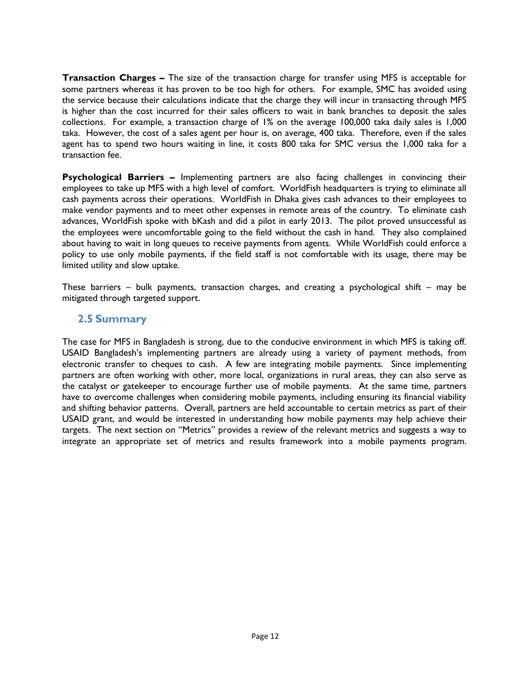**Transaction Charges –** The size of the transaction charge for transfer using MFS is acceptable for some partners whereas it has proven to be too high for others. For example, SMC has avoided using the service because their calculations indicate that the charge they will incur in transacting through MFS is higher than the cost incurred for their sales officers to wait in bank branches to deposit the sales collections. For example, a transaction charge of 1% on the average 100,000 taka daily sales is 1,000 taka. However, the cost of a sales agent per hour is, on average, 400 taka. Therefore, even if the sales agent has to spend two hours waiting in line, it costs 800 taka for SMC versus the 1,000 taka for a transaction fee.

**Psychological Barriers –** Implementing partners are also facing challenges in convincing their employees to take up MFS with a high level of comfort. WorldFish headquarters is trying to eliminate all cash payments across their operations. WorldFish in Dhaka gives cash advances to their employees to make vendor payments and to meet other expenses in remote areas of the country. To eliminate cash advances, WorldFish spoke with bKash and did a pilot in early 2013. The pilot proved unsuccessful as the employees were uncomfortable going to the field without the cash in hand. They also complained about having to wait in long queues to receive payments from agents. While WorldFish could enforce a policy to use only mobile payments, if the field staff is not comfortable with its usage, there may be limited utility and slow uptake.

These barriers – bulk payments, transaction charges, and creating a psychological shift – may be mitigated through targeted support.

#### <span id="page-11-0"></span>**2.5 Summary**

The case for MFS in Bangladesh is strong, due to the conducive environment in which MFS is taking off. USAID Bangladesh's implementing partners are already using a variety of payment methods, from electronic transfer to cheques to cash. A few are integrating mobile payments. Since implementing partners are often working with other, more local, organizations in rural areas, they can also serve as the catalyst or gatekeeper to encourage further use of mobile payments. At the same time, partners have to overcome challenges when considering mobile payments, including ensuring its financial viability and shifting behavior patterns. Overall, partners are held accountable to certain metrics as part of their USAID grant, and would be interested in understanding how mobile payments may help achieve their targets. The next section on "Metrics" provides a review of the relevant metrics and suggests a way to integrate an appropriate set of metrics and results framework into a mobile payments program.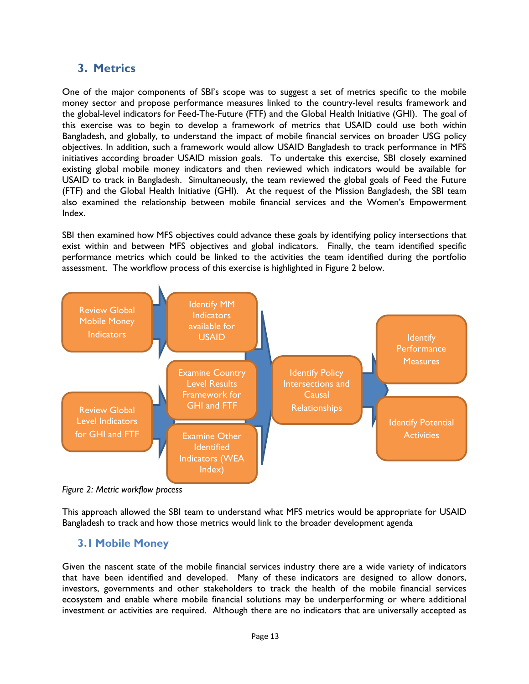## <span id="page-12-0"></span>**3. Metrics**

One of the major components of SBI's scope was to suggest a set of metrics specific to the mobile money sector and propose performance measures linked to the country-level results framework and the global-level indicators for Feed-The-Future (FTF) and the Global Health Initiative (GHI). The goal of this exercise was to begin to develop a framework of metrics that USAID could use both within Bangladesh, and globally, to understand the impact of mobile financial services on broader USG policy objectives. In addition, such a framework would allow USAID Bangladesh to track performance in MFS initiatives according broader USAID mission goals. To undertake this exercise, SBI closely examined existing global mobile money indicators and then reviewed which indicators would be available for USAID to track in Bangladesh. Simultaneously, the team reviewed the global goals of Feed the Future (FTF) and the Global Health Initiative (GHI). At the request of the Mission Bangladesh, the SBI team also examined the relationship between mobile financial services and the Women's Empowerment Index.

SBI then examined how MFS objectives could advance these goals by identifying policy intersections that exist within and between MFS objectives and global indicators. Finally, the team identified specific performance metrics which could be linked to the activities the team identified during the portfolio assessment. The workflow process of this exercise is highlighted in Figure 2 below.



*Figure 2: Metric workflow process*

This approach allowed the SBI team to understand what MFS metrics would be appropriate for USAID Bangladesh to track and how those metrics would link to the broader development agenda

### <span id="page-12-1"></span>**3.1 Mobile Money**

Given the nascent state of the mobile financial services industry there are a wide variety of indicators that have been identified and developed. Many of these indicators are designed to allow donors, investors, governments and other stakeholders to track the health of the mobile financial services ecosystem and enable where mobile financial solutions may be underperforming or where additional investment or activities are required. Although there are no indicators that are universally accepted as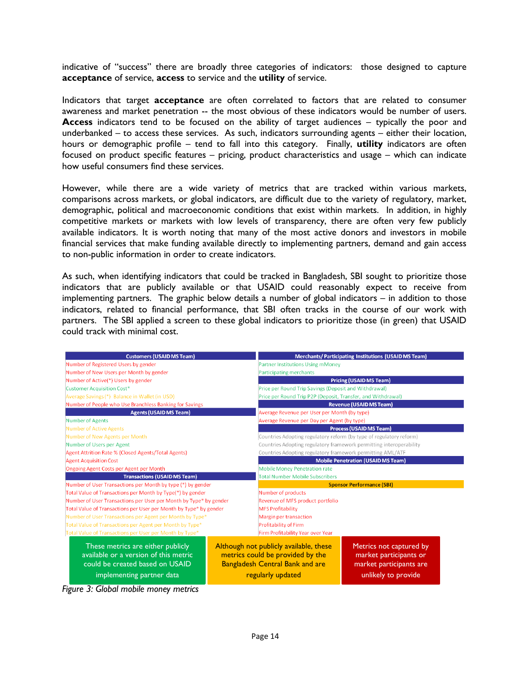indicative of "success" there are broadly three categories of indicators: those designed to capture **acceptance** of service, **access** to service and the **utility** of service.

Indicators that target **acceptance** are often correlated to factors that are related to consumer awareness and market penetration -- the most obvious of these indicators would be number of users. **Access** indicators tend to be focused on the ability of target audiences – typically the poor and underbanked – to access these services. As such, indicators surrounding agents – either their location, hours or demographic profile – tend to fall into this category. Finally, **utility** indicators are often focused on product specific features – pricing, product characteristics and usage – which can indicate how useful consumers find these services.

However, while there are a wide variety of metrics that are tracked within various markets, comparisons across markets, or global indicators, are difficult due to the variety of regulatory, market, demographic, political and macroeconomic conditions that exist within markets. In addition, in highly competitive markets or markets with low levels of transparency, there are often very few publicly available indicators. It is worth noting that many of the most active donors and investors in mobile financial services that make funding available directly to implementing partners, demand and gain access to non-public information in order to create indicators.

As such, when identifying indicators that could be tracked in Bangladesh, SBI sought to prioritize those indicators that are publicly available or that USAID could reasonably expect to receive from implementing partners. The graphic below details a number of global indicators – in addition to those indicators, related to financial performance, that SBI often tracks in the course of our work with partners. The SBI applied a screen to these global indicators to prioritize those (in green) that USAID could track with minimal cost.

| <b>Customers (USAID MS Team)</b>                                                                              |                                          | <b>Merchants/Participating Institutions (USAID MS Team)</b>                                                          |                                                                              |  |
|---------------------------------------------------------------------------------------------------------------|------------------------------------------|----------------------------------------------------------------------------------------------------------------------|------------------------------------------------------------------------------|--|
| Number of Registered Users by gender                                                                          |                                          | Partner Institutions Using mMoney                                                                                    |                                                                              |  |
| Number of New Users per Month by gender                                                                       |                                          | Participating merchants                                                                                              |                                                                              |  |
| Number of Active(*) Users by gender                                                                           |                                          | <b>Pricing (USAID MS Team)</b>                                                                                       |                                                                              |  |
| <b>Customer Acquisition Cost*</b>                                                                             |                                          | Price per Round Trip Savings (Deposit and Withdrawal)                                                                |                                                                              |  |
| Average Savings (*) Balance in Wallet (in USD)                                                                |                                          | Price per Round Trip P2P (Deposit, Transfer, and Withdrawal)                                                         |                                                                              |  |
| Number of People who Use Branchless Banking for Savings                                                       |                                          | <b>Revenue (USAID MS Team)</b>                                                                                       |                                                                              |  |
| <b>Agents (USAID MS Team)</b>                                                                                 |                                          | Average Revenue per User per Month (by type)                                                                         |                                                                              |  |
| <b>Number of Agents</b>                                                                                       |                                          | Average Revenue per Day per Agent (by type)                                                                          |                                                                              |  |
| <b>Number of Active Agents</b>                                                                                |                                          |                                                                                                                      | <b>Process (USAID MS Team)</b>                                               |  |
| Number of New Agents per Month                                                                                |                                          | Countries Adopting regulatory reform (by type of regulatory reform)                                                  |                                                                              |  |
| Number of Users per Agent                                                                                     |                                          | Countries Adopting regulatory framework permitting interoperability                                                  |                                                                              |  |
| Agent Attrition Rate % (Closed Agents/Total Agents)                                                           |                                          | Countries Adopting regulatory framework permitting AML/ATF                                                           |                                                                              |  |
| <b>Agent Acquisition Cost</b>                                                                                 |                                          | <b>Mobile Penetration (USAID MS Team)</b>                                                                            |                                                                              |  |
| Ongoing Agent Costs per Agent per Month                                                                       |                                          | <b>Mobile Money Penetration rate</b>                                                                                 |                                                                              |  |
| <b>Transactions (USAID MS Team)</b>                                                                           |                                          | <b>Total Number Mobile Subscribers</b>                                                                               |                                                                              |  |
| Number of User Transactions per Month by type (*) by gender                                                   |                                          | <b>Sponsor Performance (SBI)</b>                                                                                     |                                                                              |  |
| Total Value of Transactions per Month by Type(*) by gender                                                    |                                          | Number of products                                                                                                   |                                                                              |  |
| Number of User Transactions per User per Month by Type* by gender                                             |                                          | Revenue of MFS product portfolio                                                                                     |                                                                              |  |
| Total Value of Transactions per User per Month by Type* by gender                                             |                                          | <b>MFS Profitability</b>                                                                                             |                                                                              |  |
| Number of User Transactions per Agent per Month by Type*                                                      |                                          | Margin per transaction                                                                                               |                                                                              |  |
| Total Value of Transactions per Agent per Month by Type*                                                      |                                          | Profitability of Firm                                                                                                |                                                                              |  |
| Total Value of Transactions per User per Month by Type*                                                       |                                          | Firm Profitability Year over Year                                                                                    |                                                                              |  |
| These metrics are either publicly<br>available or a version of this metric<br>could be created based on USAID |                                          | Although not publicly available, these<br>metrics could be provided by the<br><b>Bangladesh Central Bank and are</b> | Metrics not captured by<br>market participants or<br>market participants are |  |
| implementing partner data<br>.                                                                                | regularly updated<br>unlikely to provide |                                                                                                                      |                                                                              |  |

*Figure 3: Global mobile money metrics*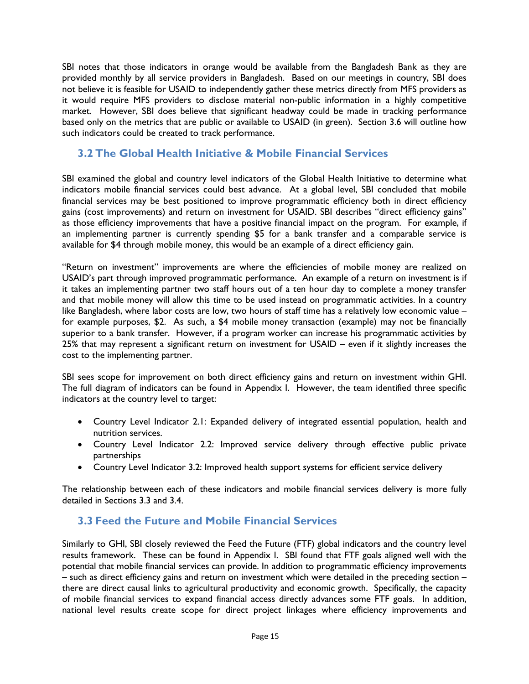SBI notes that those indicators in orange would be available from the Bangladesh Bank as they are provided monthly by all service providers in Bangladesh. Based on our meetings in country, SBI does not believe it is feasible for USAID to independently gather these metrics directly from MFS providers as it would require MFS providers to disclose material non-public information in a highly competitive market. However, SBI does believe that significant headway could be made in tracking performance based only on the metrics that are public or available to USAID (in green). Section 3.6 will outline how such indicators could be created to track performance.

## <span id="page-14-0"></span>**3.2 The Global Health Initiative & Mobile Financial Services**

SBI examined the global and country level indicators of the Global Health Initiative to determine what indicators mobile financial services could best advance. At a global level, SBI concluded that mobile financial services may be best positioned to improve programmatic efficiency both in direct efficiency gains (cost improvements) and return on investment for USAID. SBI describes "direct efficiency gains" as those efficiency improvements that have a positive financial impact on the program. For example, if an implementing partner is currently spending \$5 for a bank transfer and a comparable service is available for \$4 through mobile money, this would be an example of a direct efficiency gain.

"Return on investment" improvements are where the efficiencies of mobile money are realized on USAID's part through improved programmatic performance. An example of a return on investment is if it takes an implementing partner two staff hours out of a ten hour day to complete a money transfer and that mobile money will allow this time to be used instead on programmatic activities. In a country like Bangladesh, where labor costs are low, two hours of staff time has a relatively low economic value – for example purposes, \$2. As such, a \$4 mobile money transaction (example) may not be financially superior to a bank transfer. However, if a program worker can increase his programmatic activities by 25% that may represent a significant return on investment for USAID – even if it slightly increases the cost to the implementing partner.

SBI sees scope for improvement on both direct efficiency gains and return on investment within GHI. The full diagram of indicators can be found in Appendix I. However, the team identified three specific indicators at the country level to target:

- Country Level Indicator 2.1: Expanded delivery of integrated essential population, health and nutrition services.
- Country Level Indicator 2.2: Improved service delivery through effective public private partnerships
- Country Level Indicator 3.2: Improved health support systems for efficient service delivery

The relationship between each of these indicators and mobile financial services delivery is more fully detailed in Sections 3.3 and 3.4.

### <span id="page-14-1"></span>**3.3 Feed the Future and Mobile Financial Services**

Similarly to GHI, SBI closely reviewed the Feed the Future (FTF) global indicators and the country level results framework. These can be found in Appendix I. SBI found that FTF goals aligned well with the potential that mobile financial services can provide. In addition to programmatic efficiency improvements – such as direct efficiency gains and return on investment which were detailed in the preceding section – there are direct causal links to agricultural productivity and economic growth. Specifically, the capacity of mobile financial services to expand financial access directly advances some FTF goals. In addition, national level results create scope for direct project linkages where efficiency improvements and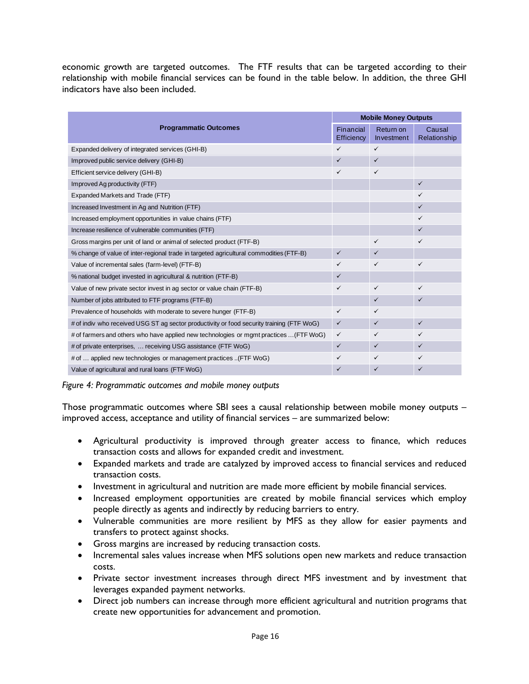economic growth are targeted outcomes. The FTF results that can be targeted according to their relationship with mobile financial services can be found in the table below. In addition, the three GHI indicators have also been included.

|                                                                                           |                         | <b>Mobile Money Outputs</b> |                        |  |
|-------------------------------------------------------------------------------------------|-------------------------|-----------------------------|------------------------|--|
| <b>Programmatic Outcomes</b>                                                              | Financial<br>Efficiency | Return on<br>Investment     | Causal<br>Relationship |  |
| Expanded delivery of integrated services (GHI-B)                                          | ✓                       | $\checkmark$                |                        |  |
| Improved public service delivery (GHI-B)                                                  | $\checkmark$            | $\checkmark$                |                        |  |
| Efficient service delivery (GHI-B)                                                        | $\checkmark$            | ✓                           |                        |  |
| Improved Ag productivity (FTF)                                                            |                         |                             | $\checkmark$           |  |
| Expanded Markets and Trade (FTF)                                                          |                         |                             | ✓                      |  |
| Increased Investment in Ag and Nutrition (FTF)                                            |                         |                             | $\checkmark$           |  |
| Increased employment opportunities in value chains (FTF)                                  |                         |                             | $\checkmark$           |  |
| Increase resilience of vulnerable communities (FTF)                                       |                         |                             | $\checkmark$           |  |
| Gross margins per unit of land or animal of selected product (FTF-B)                      |                         | $\checkmark$                | $\checkmark$           |  |
| % change of value of inter-regional trade in targeted agricultural commodities (FTF-B)    |                         | $\checkmark$                |                        |  |
| Value of incremental sales (farm-level) (FTF-B)                                           |                         | ✓                           | $\checkmark$           |  |
| % national budget invested in agricultural & nutrition (FTF-B)                            |                         |                             |                        |  |
| Value of new private sector invest in ag sector or value chain (FTF-B)                    |                         | $\checkmark$                | $\checkmark$           |  |
| Number of jobs attributed to FTF programs (FTF-B)                                         |                         | ✓                           | $\checkmark$           |  |
| Prevalence of households with moderate to severe hunger (FTF-B)                           |                         | ✓                           |                        |  |
| # of indiv who received USG ST ag sector productivity or food security training (FTF WoG) |                         | $\checkmark$                | $\checkmark$           |  |
| # of farmers and others who have applied new technologies or mgmt practices  (FTF WoG)    |                         | ✓                           | $\checkmark$           |  |
| # of private enterprises,  receiving USG assistance (FTF WoG)                             | $\checkmark$            | ✓                           | $\checkmark$           |  |
| # of  applied new technologies or management practices (FTF WoG)                          | ✓                       | ✓                           | $\checkmark$           |  |
| Value of agricultural and rural loans (FTF WoG)                                           | ✓                       | $\checkmark$                | $\checkmark$           |  |

*Figure 4: Programmatic outcomes and mobile money outputs*

Those programmatic outcomes where SBI sees a causal relationship between mobile money outputs – improved access, acceptance and utility of financial services – are summarized below:

- Agricultural productivity is improved through greater access to finance, which reduces transaction costs and allows for expanded credit and investment.
- Expanded markets and trade are catalyzed by improved access to financial services and reduced transaction costs.
- Investment in agricultural and nutrition are made more efficient by mobile financial services.
- Increased employment opportunities are created by mobile financial services which employ people directly as agents and indirectly by reducing barriers to entry.
- Vulnerable communities are more resilient by MFS as they allow for easier payments and transfers to protect against shocks.
- Gross margins are increased by reducing transaction costs.
- Incremental sales values increase when MFS solutions open new markets and reduce transaction costs.
- Private sector investment increases through direct MFS investment and by investment that leverages expanded payment networks.
- Direct job numbers can increase through more efficient agricultural and nutrition programs that create new opportunities for advancement and promotion.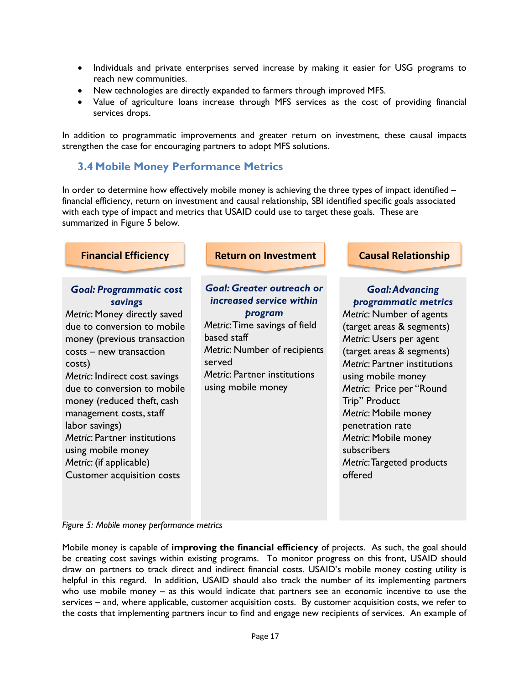- Individuals and private enterprises served increase by making it easier for USG programs to reach new communities.
- New technologies are directly expanded to farmers through improved MFS.
- Value of agriculture loans increase through MFS services as the cost of providing financial services drops.

In addition to programmatic improvements and greater return on investment, these causal impacts strengthen the case for encouraging partners to adopt MFS solutions.

#### <span id="page-16-0"></span>**3.4 Mobile Money Performance Metrics**

In order to determine how effectively mobile money is achieving the three types of impact identified financial efficiency, return on investment and causal relationship, SBI identified specific goals associated with each type of impact and metrics that USAID could use to target these goals. These are summarized in Figure 5 below.

| <b>Financial Efficiency</b>                                                                                                                                                                                                                                                                                                                                                                                                                          | <b>Return on Investment</b>                                                                                                                                                                                                    | <b>Causal Relationship</b>                                                                                                                                                                                                                                                                                                                                                                    |
|------------------------------------------------------------------------------------------------------------------------------------------------------------------------------------------------------------------------------------------------------------------------------------------------------------------------------------------------------------------------------------------------------------------------------------------------------|--------------------------------------------------------------------------------------------------------------------------------------------------------------------------------------------------------------------------------|-----------------------------------------------------------------------------------------------------------------------------------------------------------------------------------------------------------------------------------------------------------------------------------------------------------------------------------------------------------------------------------------------|
| <b>Goal: Programmatic cost</b><br>savings<br>Metric: Money directly saved<br>due to conversion to mobile<br>money (previous transaction<br>costs – new transaction<br>costs)<br>Metric: Indirect cost savings<br>due to conversion to mobile<br>money (reduced theft, cash<br>management costs, staff<br>labor savings)<br><b>Metric: Partner institutions</b><br>using mobile money<br>Metric: (if applicable)<br><b>Customer acquisition costs</b> | <b>Goal: Greater outreach or</b><br>increased service within<br>program<br>Metric: Time savings of field<br>based staff<br>Metric: Number of recipients<br>served<br><b>Metric: Partner institutions</b><br>using mobile money | <b>Goal: Advancing</b><br>programmatic metrics<br>Metric: Number of agents<br>(target areas & segments)<br>Metric: Users per agent<br>(target areas & segments)<br>Metric: Partner institutions<br>using mobile money<br>Metric: Price per "Round<br>Trip" Product<br>Metric: Mobile money<br>penetration rate<br>Metric: Mobile money<br>subscribers<br>Metric: Targeted products<br>offered |

#### *Figure 5: Mobile money performance metrics*

Mobile money is capable of **improving the financial efficiency** of projects. As such, the goal should be creating cost savings within existing programs. To monitor progress on this front, USAID should draw on partners to track direct and indirect financial costs. USAID's mobile money costing utility is helpful in this regard. In addition, USAID should also track the number of its implementing partners who use mobile money – as this would indicate that partners see an economic incentive to use the services – and, where applicable, customer acquisition costs. By customer acquisition costs, we refer to the costs that implementing partners incur to find and engage new recipients of services. An example of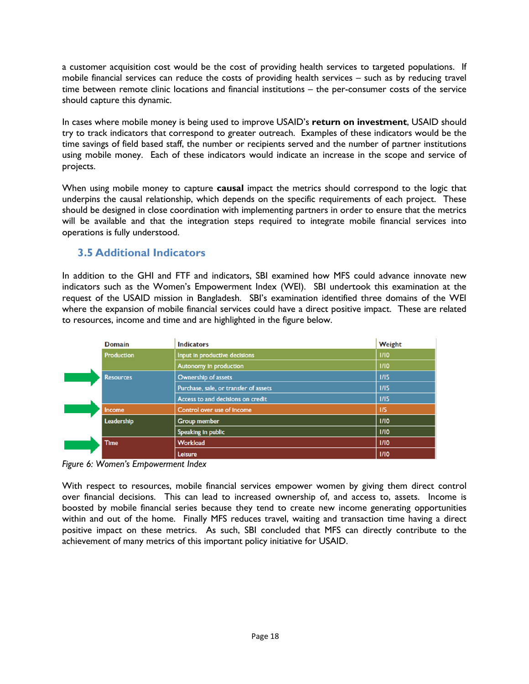a customer acquisition cost would be the cost of providing health services to targeted populations. If mobile financial services can reduce the costs of providing health services – such as by reducing travel time between remote clinic locations and financial institutions – the per-consumer costs of the service should capture this dynamic.

In cases where mobile money is being used to improve USAID's **return on investment**, USAID should try to track indicators that correspond to greater outreach. Examples of these indicators would be the time savings of field based staff, the number or recipients served and the number of partner institutions using mobile money. Each of these indicators would indicate an increase in the scope and service of projects.

When using mobile money to capture **causal** impact the metrics should correspond to the logic that underpins the causal relationship, which depends on the specific requirements of each project. These should be designed in close coordination with implementing partners in order to ensure that the metrics will be available and that the integration steps required to integrate mobile financial services into operations is fully understood.

## <span id="page-17-0"></span>**3.5 Additional Indicators**

In addition to the GHI and FTF and indicators, SBI examined how MFS could advance innovate new indicators such as the Women's Empowerment Index (WEI). SBI undertook this examination at the request of the USAID mission in Bangladesh. SBI's examination identified three domains of the WEI where the expansion of mobile financial services could have a direct positive impact. These are related to resources, income and time and are highlighted in the figure below.

| <b>Domain</b>    | <b>Indicators</b>                     | Weight |
|------------------|---------------------------------------|--------|
| Production       | Input in productive decisions         | 1/10   |
|                  | Autonomy In production                | 1/10   |
| <b>Resources</b> | Ownership of assets                   | 1/15   |
|                  | Purchase, sale, or transfer of assets | 1/15   |
|                  | Access to and decisions on credit     | 1/15   |
| <b>Income</b>    | Control over use of Income            | 1/5    |
| Leadership       | <b>Group member</b>                   | 1/10   |
|                  | Speaking in public                    | 1/10   |
| <b>Time</b>      | <b>Workload</b>                       | 1/10   |
|                  | Leisure                               | 1/10   |

*Figure 6: Women's Empowerment Index*

With respect to resources, mobile financial services empower women by giving them direct control over financial decisions. This can lead to increased ownership of, and access to, assets. Income is boosted by mobile financial series because they tend to create new income generating opportunities within and out of the home. Finally MFS reduces travel, waiting and transaction time having a direct positive impact on these metrics. As such, SBI concluded that MFS can directly contribute to the achievement of many metrics of this important policy initiative for USAID.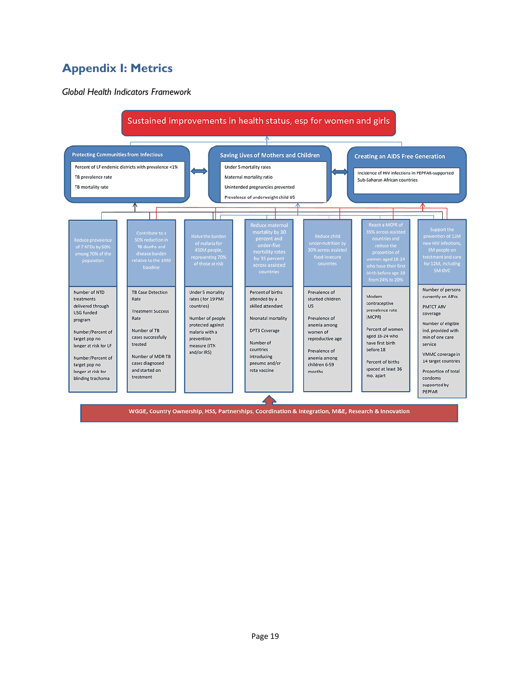## <span id="page-18-0"></span>**Appendix I: Metrics**

*Global Health Indicators Framework*



WGGE, Country Ownership, HSS, Partnerships, Coordination & Integration, M&E, Research & Innovation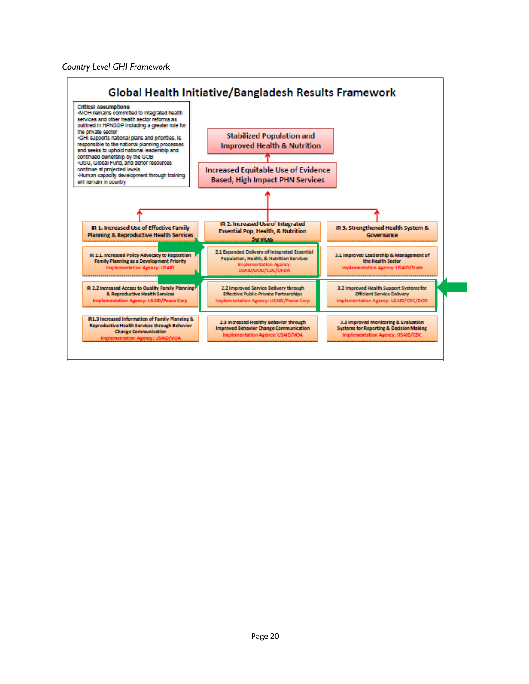#### *Country Level GHI Framework*

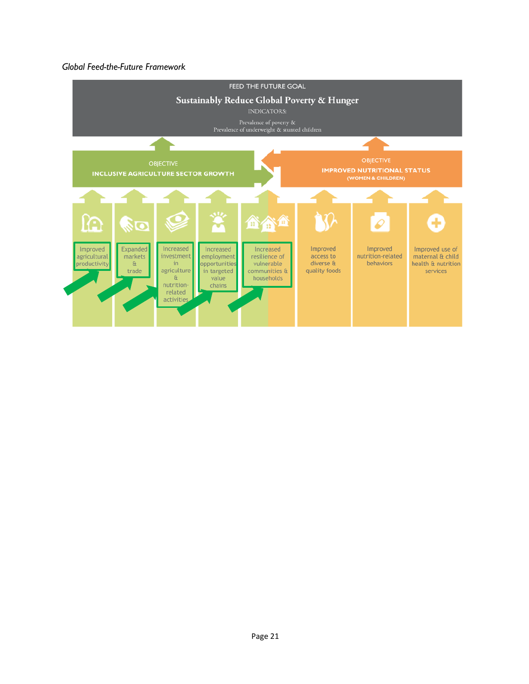#### *Global Feed-the-Future Framework*

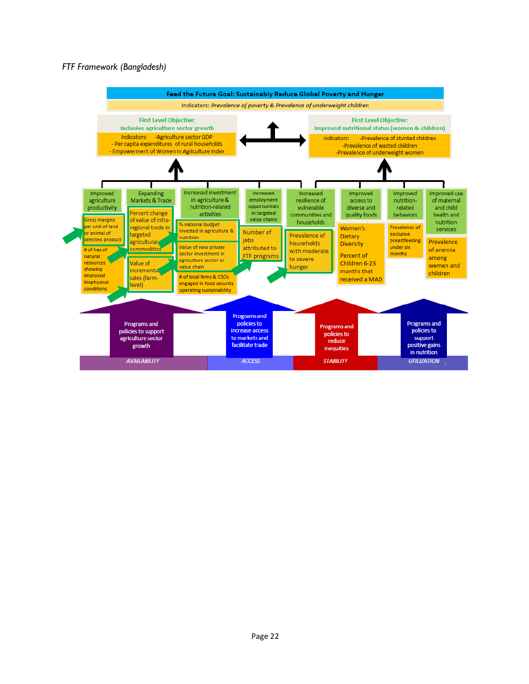#### *FTF Framework (Bangladesh)*